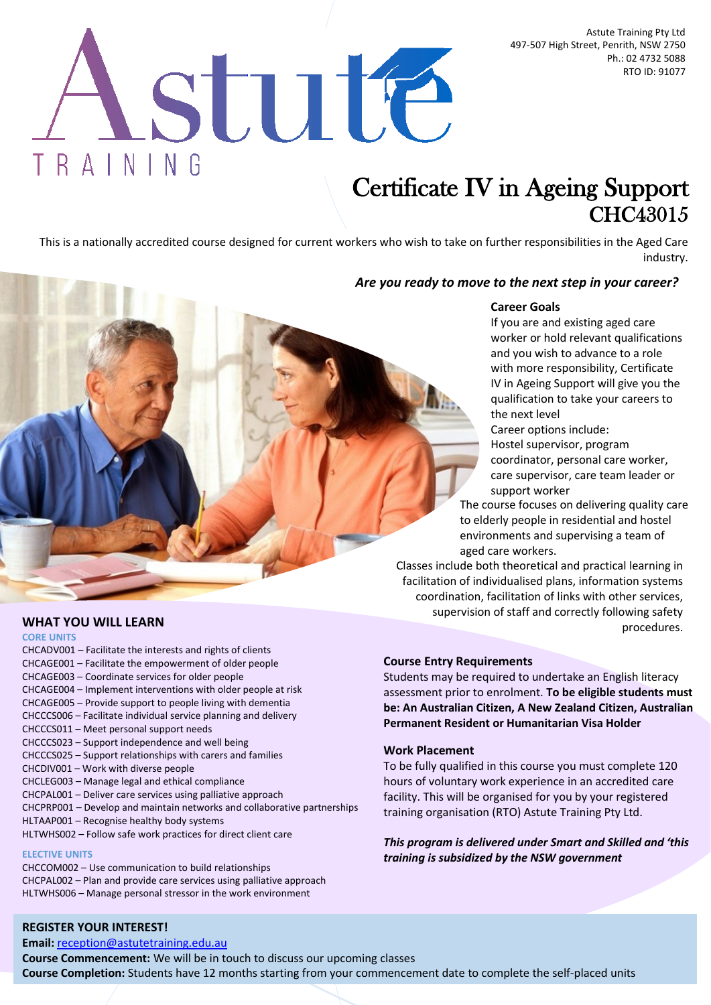Astute Training Pty Ltd 497-507 High Street, Penrith, NSW 2750 Ph.: 02 4732 5088 RTO ID: 91077

# stute TRAINING

# Certificate IV in Ageing Support CHC43015

This is a nationally accredited course designed for current workers who wish to take on further responsibilities in the Aged Care industry.

# *Are you ready to move to the next step in your career?*

# **Career Goals**

If you are and existing aged care worker or hold relevant qualifications and you wish to advance to a role with more responsibility, Certificate IV in Ageing Support will give you the qualification to take your careers to the next level

Career options include: Hostel supervisor, program coordinator, personal care worker, care supervisor, care team leader or

support worker The course focuses on delivering quality care to elderly people in residential and hostel environments and supervising a team of aged care workers.

Classes include both theoretical and practical learning in facilitation of individualised plans, information systems coordination, facilitation of links with other services, supervision of staff and correctly following safety procedures.

**WHAT YOU WILL LEARN**

#### **CORE UNITS**

CHCADV001 – Facilitate the interests and rights of clients CHCAGE001 – Facilitate the empowerment of older people CHCAGE003 – Coordinate services for older people CHCAGE004 – Implement interventions with older people at risk CHCAGE005 – Provide support to people living with dementia CHCCCS006 – Facilitate individual service planning and delivery CHCCCS011 – Meet personal support needs CHCCCS023 – Support independence and well being CHCCCS025 – Support relationships with carers and families CHCDIV001 – Work with diverse people CHCLEG003 – Manage legal and ethical compliance CHCPAL001 – Deliver care services using palliative approach CHCPRP001 – Develop and maintain networks and collaborative partnerships HLTAAP001 – Recognise healthy body systems HLTWHS002 – Follow safe work practices for direct client care

#### **ELECTIVE UNITS**

CHCCOM002 – Use communication to build relationships CHCPAL002 – Plan and provide care services using palliative approach HLTWHS006 – Manage personal stressor in the work environment

# **Course Entry Requirements**

Students may be required to undertake an English literacy assessment prior to enrolment. **To be eligible students must be: An Australian Citizen, A New Zealand Citizen, Australian Permanent Resident or Humanitarian Visa Holder**

#### **Work Placement**

To be fully qualified in this course you must complete 120 hours of voluntary work experience in an accredited care facility. This will be organised for you by your registered training organisation (RTO) Astute Training Pty Ltd.

*This program is delivered under Smart and Skilled and 'this training is subsidized by the NSW government*

# **REGISTER YOUR INTEREST!**

**Email:** [reception@astutetraining.edu.au](mailto:reception@astutetraining.edu.au)

**Course Commencement:** We will be in touch to discuss our upcoming classes **Course Completion:** Students have 12 months starting from your commencement date to complete the self-placed units